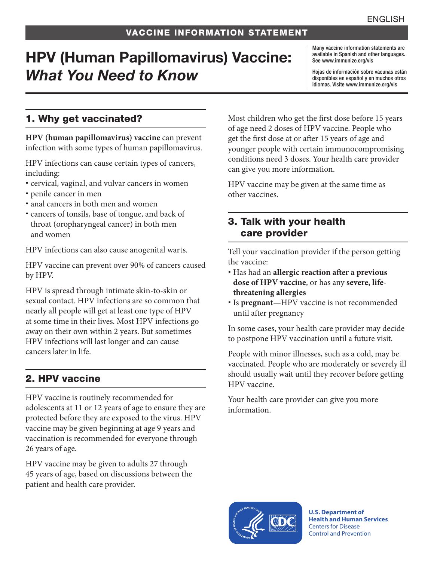## VACCINE INFORMATION STATEMENT

# HPV (Human Papillomavirus) Vaccine: *What You Need to Know*

Many vaccine information statements are available in Spanish and other languages. See [www.immunize.org/vis](http://www.immunize.org/vis)

Hojas de información sobre vacunas están disponibles en español y en muchos otros idiomas. Visite [www.immunize.org/vis](http://www.immunize.org/vis)

## 1. Why get vaccinated?

**HPV (human papillomavirus) vaccine** can prevent infection with some types of human papillomavirus.

HPV infections can cause certain types of cancers, including:

- cervical, vaginal, and vulvar cancers in women
- penile cancer in men
- anal cancers in both men and women
- cancers of tonsils, base of tongue, and back of throat (oropharyngeal cancer) in both men and women

HPV infections can also cause anogenital warts.

HPV vaccine can prevent over 90% of cancers caused by HPV.

HPV is spread through intimate skin-to-skin or sexual contact. HPV infections are so common that nearly all people will get at least one type of HPV at some time in their lives. Most HPV infections go away on their own within 2 years. But sometimes HPV infections will last longer and can cause cancers later in life.

# 2. HPV vaccine

HPV vaccine is routinely recommended for adolescents at 11 or 12 years of age to ensure they are protected before they are exposed to the virus. HPV vaccine may be given beginning at age 9 years and vaccination is recommended for everyone through 26 years of age.

HPV vaccine may be given to adults 27 through 45 years of age, based on discussions between the patient and health care provider.

Most children who get the first dose before 15 years of age need 2 doses of HPV vaccine. People who get the first dose at or after 15 years of age and younger people with certain immunocompromising conditions need 3 doses. Your health care provider can give you more information.

HPV vaccine may be given at the same time as other vaccines.

#### 3. Talk with your health care provider

Tell your vaccination provider if the person getting the vaccine:

- Has had an **allergic reaction after a previous dose of HPV vaccine**, or has any **severe, lifethreatening allergies**
- Is **pregnant**—HPV vaccine is not recommended until after pregnancy

In some cases, your health care provider may decide to postpone HPV vaccination until a future visit.

People with minor illnesses, such as a cold, may be vaccinated. People who are moderately or severely ill should usually wait until they recover before getting HPV vaccine.

Your health care provider can give you more information.



**U.S. Department of Health and Human Services**  Centers for Disease Control and Prevention